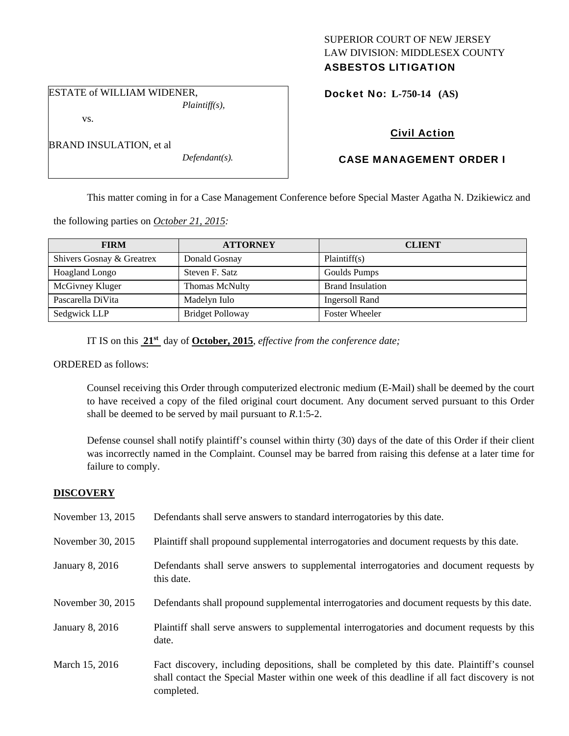## SUPERIOR COURT OF NEW JERSEY LAW DIVISION: MIDDLESEX COUNTY ASBESTOS LITIGATION

Docket No: **L-750-14 (AS)** 

## vs.

BRAND INSULATION, et al

ESTATE of WILLIAM WIDENER,

*Defendant(s).* 

*Plaintiff(s),* 

# Civil Action

# CASE MANAGEMENT ORDER I

This matter coming in for a Case Management Conference before Special Master Agatha N. Dzikiewicz and

the following parties on *October 21, 2015:* 

| <b>FIRM</b>               | <b>ATTORNEY</b>         | <b>CLIENT</b>           |
|---------------------------|-------------------------|-------------------------|
| Shivers Gosnay & Greatrex | Donald Gosnay           | Plaintiff(s)            |
| Hoagland Longo            | Steven F. Satz          | Goulds Pumps            |
| McGivney Kluger           | <b>Thomas McNulty</b>   | <b>Brand Insulation</b> |
| Pascarella DiVita         | Madelyn Iulo            | <b>Ingersoll Rand</b>   |
| Sedgwick LLP              | <b>Bridget Polloway</b> | <b>Foster Wheeler</b>   |

IT IS on this **21st** day of **October, 2015**, *effective from the conference date;*

ORDERED as follows:

Counsel receiving this Order through computerized electronic medium (E-Mail) shall be deemed by the court to have received a copy of the filed original court document. Any document served pursuant to this Order shall be deemed to be served by mail pursuant to *R*.1:5-2.

Defense counsel shall notify plaintiff's counsel within thirty (30) days of the date of this Order if their client was incorrectly named in the Complaint. Counsel may be barred from raising this defense at a later time for failure to comply.

## **DISCOVERY**

| November 13, 2015 | Defendants shall serve answers to standard interrogatories by this date.                                                                                                                                    |
|-------------------|-------------------------------------------------------------------------------------------------------------------------------------------------------------------------------------------------------------|
| November 30, 2015 | Plaintiff shall propound supplemental interrogatories and document requests by this date.                                                                                                                   |
| January 8, 2016   | Defendants shall serve answers to supplemental interrogatories and document requests by<br>this date.                                                                                                       |
| November 30, 2015 | Defendants shall propound supplemental interrogatories and document requests by this date.                                                                                                                  |
| January 8, 2016   | Plaintiff shall serve answers to supplemental interrogatories and document requests by this<br>date.                                                                                                        |
| March 15, 2016    | Fact discovery, including depositions, shall be completed by this date. Plaintiff's counsel<br>shall contact the Special Master within one week of this deadline if all fact discovery is not<br>completed. |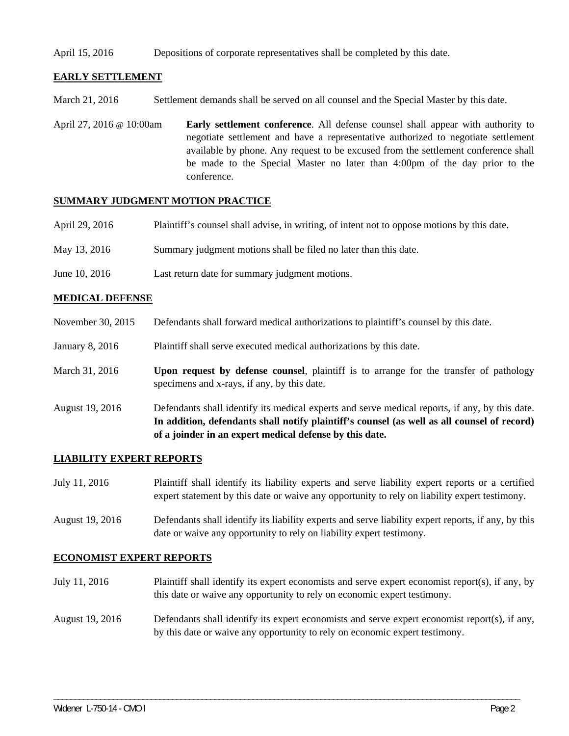#### April 15, 2016 Depositions of corporate representatives shall be completed by this date.

## **EARLY SETTLEMENT**

- March 21, 2016 Settlement demands shall be served on all counsel and the Special Master by this date.
- April 27, 2016 @ 10:00am **Early settlement conference**. All defense counsel shall appear with authority to negotiate settlement and have a representative authorized to negotiate settlement available by phone. Any request to be excused from the settlement conference shall be made to the Special Master no later than 4:00pm of the day prior to the conference.

#### **SUMMARY JUDGMENT MOTION PRACTICE**

| April 29, 2016 | Plaintiff's counsel shall advise, in writing, of intent not to oppose motions by this date. |
|----------------|---------------------------------------------------------------------------------------------|
| May 13, 2016   | Summary judgment motions shall be filed no later than this date.                            |
| June 10, 2016  | Last return date for summary judgment motions.                                              |

### **MEDICAL DEFENSE**

- November 30, 2015 Defendants shall forward medical authorizations to plaintiff's counsel by this date.
- January 8, 2016 Plaintiff shall serve executed medical authorizations by this date.
- March 31, 2016 **Upon request by defense counsel**, plaintiff is to arrange for the transfer of pathology specimens and x-rays, if any, by this date.
- August 19, 2016 Defendants shall identify its medical experts and serve medical reports, if any, by this date. **In addition, defendants shall notify plaintiff's counsel (as well as all counsel of record) of a joinder in an expert medical defense by this date.**

#### **LIABILITY EXPERT REPORTS**

- July 11, 2016 Plaintiff shall identify its liability experts and serve liability expert reports or a certified expert statement by this date or waive any opportunity to rely on liability expert testimony.
- August 19, 2016 Defendants shall identify its liability experts and serve liability expert reports, if any, by this date or waive any opportunity to rely on liability expert testimony.

#### **ECONOMIST EXPERT REPORTS**

- July 11, 2016 Plaintiff shall identify its expert economists and serve expert economist report(s), if any, by this date or waive any opportunity to rely on economic expert testimony.
- August 19, 2016 Defendants shall identify its expert economists and serve expert economist report(s), if any, by this date or waive any opportunity to rely on economic expert testimony.

\_\_\_\_\_\_\_\_\_\_\_\_\_\_\_\_\_\_\_\_\_\_\_\_\_\_\_\_\_\_\_\_\_\_\_\_\_\_\_\_\_\_\_\_\_\_\_\_\_\_\_\_\_\_\_\_\_\_\_\_\_\_\_\_\_\_\_\_\_\_\_\_\_\_\_\_\_\_\_\_\_\_\_\_\_\_\_\_\_\_\_\_\_\_\_\_\_\_\_\_\_\_\_\_\_\_\_\_\_\_